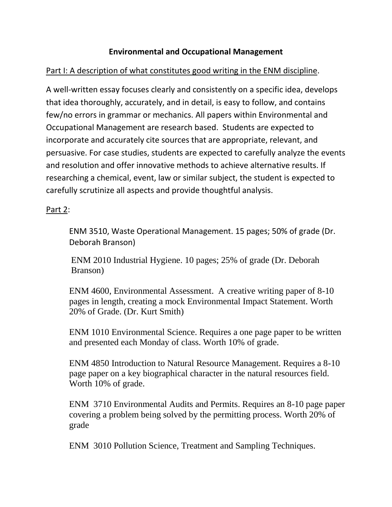## **Environmental and Occupational Management**

## Part I: A description of what constitutes good writing in the ENM discipline.

A well-written essay focuses clearly and consistently on a specific idea, develops that idea thoroughly, accurately, and in detail, is easy to follow, and contains few/no errors in grammar or mechanics. All papers within Environmental and Occupational Management are research based. Students are expected to incorporate and accurately cite sources that are appropriate, relevant, and persuasive. For case studies, students are expected to carefully analyze the events and resolution and offer innovative methods to achieve alternative results. If researching a chemical, event, law or similar subject, the student is expected to carefully scrutinize all aspects and provide thoughtful analysis.

## Part 2:

ENM 3510, Waste Operational Management. 15 pages; 50% of grade (Dr. Deborah Branson)

ENM 2010 Industrial Hygiene. 10 pages; 25% of grade (Dr. Deborah Branson)

ENM 4600, Environmental Assessment. A creative writing paper of 8-10 pages in length, creating a mock Environmental Impact Statement. Worth 20% of Grade. (Dr. Kurt Smith)

ENM 1010 Environmental Science. Requires a one page paper to be written and presented each Monday of class. Worth 10% of grade.

ENM 4850 Introduction to Natural Resource Management. Requires a 8-10 page paper on a key biographical character in the natural resources field. Worth 10% of grade.

ENM 3710 Environmental Audits and Permits. Requires an 8-10 page paper covering a problem being solved by the permitting process. Worth 20% of grade

ENM 3010 Pollution Science, Treatment and Sampling Techniques.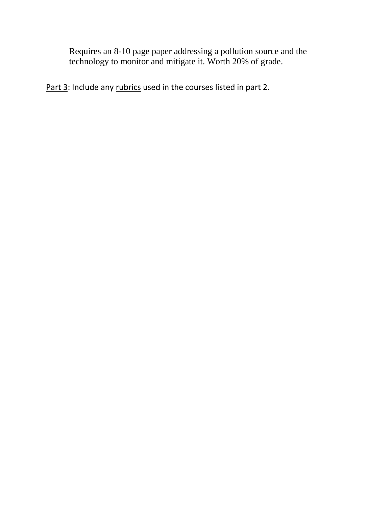Requires an 8-10 page paper addressing a pollution source and the technology to monitor and mitigate it. Worth 20% of grade.

Part 3: Include any rubrics used in the courses listed in part 2.